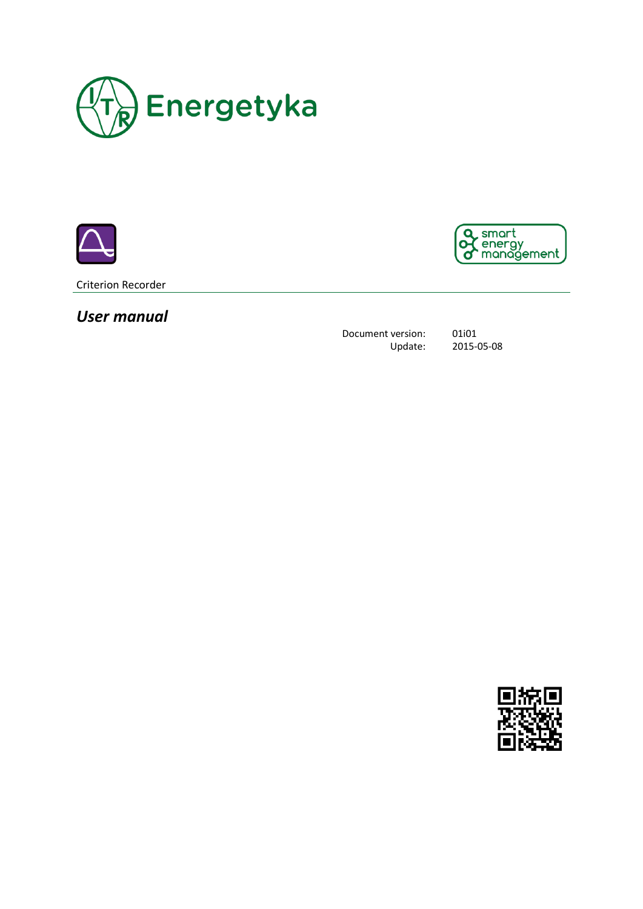





Criterion Recorder

*User manual*

Document version: 01i01 Update: 2015-05-08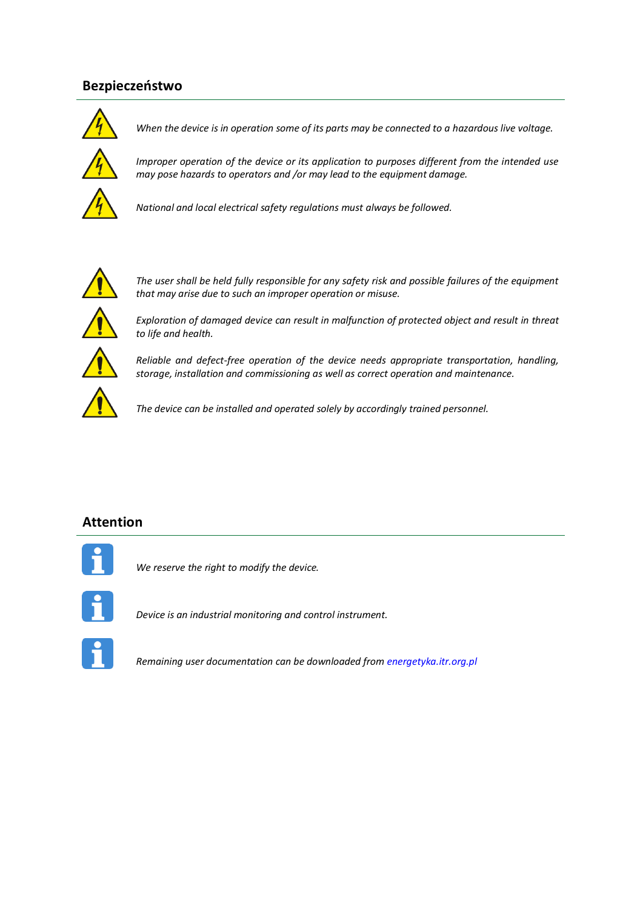## **Bezpieczeństwo**



*When the device is in operation some of its parts may be connected to a hazardous live voltage.*

*Improper operation of the device or its application to purposes different from the intended use may pose hazards to operators and /or may lead to the equipment damage.*



*National and local electrical safety regulations must always be followed.*



*The user shall be held fully responsible for any safety risk and possible failures of the equipment that may arise due to such an improper operation or misuse.* 



*Exploration of damaged device can result in malfunction of protected object and result in threat to life and health.*



*Reliable and defect-free operation of the device needs appropriate transportation, handling, storage, installation and commissioning as well as correct operation and maintenance.* 

*The device can be installed and operated solely by accordingly trained personnel.*

### **Attention**



*We reserve the right to modify the device.*



*Device is an industrial monitoring and control instrument.*



*Remaining user documentation can be downloaded fro[m energetyka.itr.org.pl](http://www.energetyka.itr.org.pl/)*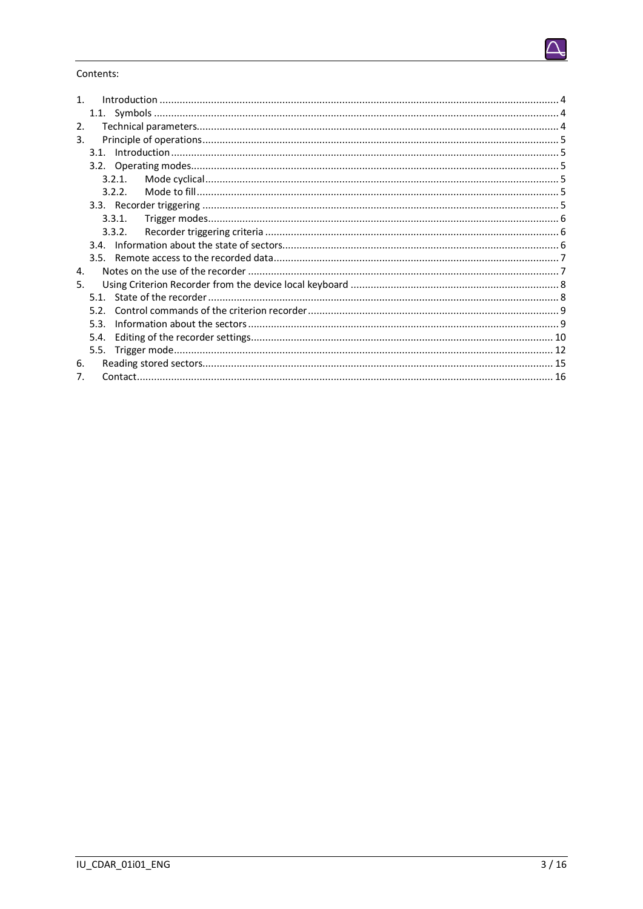

#### Contents:

| $\mathbf 1$ .    |      |        |  |
|------------------|------|--------|--|
|                  |      |        |  |
| $\overline{2}$ . |      |        |  |
| 3.               |      |        |  |
|                  |      |        |  |
| 3.2.1.           |      |        |  |
|                  |      |        |  |
|                  |      | 3.2.2. |  |
|                  |      |        |  |
|                  |      | 3.3.1. |  |
| 3.3.2.           |      |        |  |
|                  |      |        |  |
|                  |      |        |  |
| 4.               |      |        |  |
| 5.               |      |        |  |
| 51               |      |        |  |
|                  | 52   |        |  |
|                  | 53   |        |  |
|                  | 5.4. |        |  |
|                  | 5.5. |        |  |
| 6.               |      |        |  |
| 7.               |      |        |  |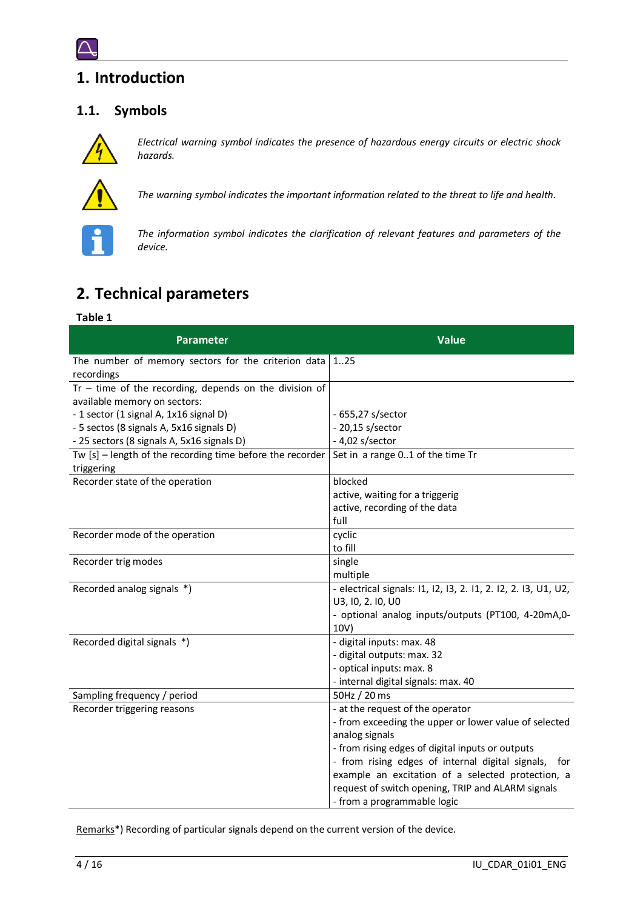# <span id="page-3-0"></span>**1. Introduction**

## <span id="page-3-1"></span>**1.1. Symbols**



*Electrical warning symbol indicates the presence of hazardous energy circuits or electric shock hazards.*



*The warning symbol indicates the important information related to the threat to life and health.*



*The information symbol indicates the clarification of relevant features and parameters of the device.*

# <span id="page-3-2"></span>**2. Technical parameters**

#### **Table 1**

| <b>Parameter</b>                                                                         | <b>Value</b>                                                                        |
|------------------------------------------------------------------------------------------|-------------------------------------------------------------------------------------|
| The number of memory sectors for the criterion data<br>recordings                        | 125                                                                                 |
| $Tr - time of the recording, depends on the division of$<br>available memory on sectors: |                                                                                     |
| - 1 sector (1 signal A, 1x16 signal D)                                                   | - 655,27 s/sector                                                                   |
| - 5 sectos (8 signals A, 5x16 signals D)                                                 | - 20,15 s/sector                                                                    |
| - 25 sectors (8 signals A, 5x16 signals D)                                               | $-4,02$ s/sector                                                                    |
| Tw $[s]$ – length of the recording time before the recorder                              | Set in a range 01 of the time Tr                                                    |
| triggering                                                                               |                                                                                     |
| Recorder state of the operation                                                          | blocked                                                                             |
|                                                                                          | active, waiting for a triggerig                                                     |
|                                                                                          | active, recording of the data                                                       |
|                                                                                          | full                                                                                |
| Recorder mode of the operation                                                           | cyclic                                                                              |
|                                                                                          | to fill                                                                             |
| Recorder trig modes                                                                      | single                                                                              |
|                                                                                          | multiple                                                                            |
| Recorded analog signals *)                                                               | - electrical signals: 11, 12, 13, 2. 11, 2. 12, 2. 13, U1, U2,<br>U3, I0, 2. I0, U0 |
|                                                                                          | - optional analog inputs/outputs (PT100, 4-20mA,0-                                  |
|                                                                                          | 10V)                                                                                |
| Recorded digital signals *)                                                              | - digital inputs: max. 48                                                           |
|                                                                                          | - digital outputs: max. 32                                                          |
|                                                                                          | - optical inputs: max. 8                                                            |
|                                                                                          | - internal digital signals: max. 40                                                 |
| Sampling frequency / period                                                              | 50Hz / 20 ms                                                                        |
| Recorder triggering reasons                                                              | - at the request of the operator                                                    |
|                                                                                          | - from exceeding the upper or lower value of selected                               |
|                                                                                          | analog signals                                                                      |
|                                                                                          | - from rising edges of digital inputs or outputs                                    |
|                                                                                          | - from rising edges of internal digital signals,<br>for                             |
|                                                                                          | example an excitation of a selected protection, a                                   |
|                                                                                          | request of switch opening, TRIP and ALARM signals                                   |
|                                                                                          | - from a programmable logic                                                         |

Remarks\*) Recording of particular signals depend on the current version of the device.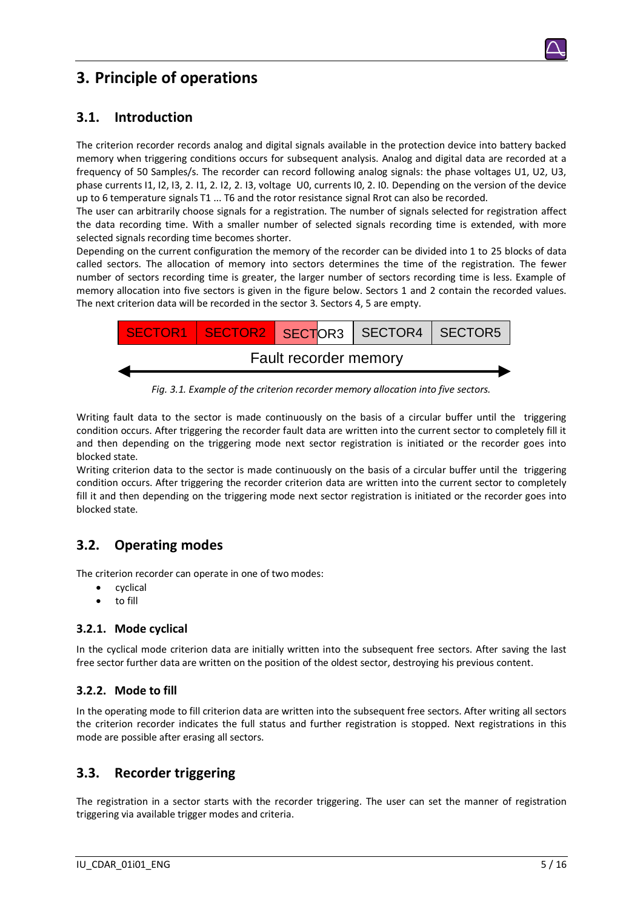# <span id="page-4-0"></span>**3. Principle of operations**

## <span id="page-4-1"></span>**3.1. Introduction**

The criterion recorder records analog and digital signals available in the protection device into battery backed memory when triggering conditions occurs for subsequent analysis. Analog and digital data are recorded at a frequency of 50 Samples/s. The recorder can record following analog signals: the phase voltages U1, U2, U3, phase currents I1, I2, I3, 2. I1, 2. I2, 2. I3, voltage U0, currents I0, 2. I0. Depending on the version of the device up to 6 temperature signals T1 ... T6 and the rotor resistance signal Rrot can also be recorded.

The user can arbitrarily choose signals for a registration. The number of signals selected for registration affect the data recording time. With a smaller number of selected signals recording time is extended, with more selected signals recording time becomes shorter.

Depending on the current configuration the memory of the recorder can be divided into 1 to 25 blocks of data called sectors. The allocation of memory into sectors determines the time of the registration. The fewer number of sectors recording time is greater, the larger number of sectors recording time is less. Example of memory allocation into five sectors is given in the figure below. Sectors 1 and 2 contain the recorded values. The next criterion data will be recorded in the sector 3. Sectors 4, 5 are empty.



*Fig. 3.1. Example of the criterion recorder memory allocation into five sectors.*

Writing fault data to the sector is made continuously on the basis of a circular buffer until the triggering condition occurs. After triggering the recorder fault data are written into the current sector to completely fill it and then depending on the triggering mode next sector registration is initiated or the recorder goes into blocked state.

Writing criterion data to the sector is made continuously on the basis of a circular buffer until the triggering condition occurs. After triggering the recorder criterion data are written into the current sector to completely fill it and then depending on the triggering mode next sector registration is initiated or the recorder goes into blocked state.

## <span id="page-4-2"></span>**3.2. Operating modes**

The criterion recorder can operate in one of two modes:

- cyclical
- to fill

#### <span id="page-4-3"></span>**3.2.1. Mode cyclical**

In the cyclical mode criterion data are initially written into the subsequent free sectors. After saving the last free sector further data are written on the position of the oldest sector, destroying his previous content.

#### <span id="page-4-4"></span>**3.2.2. Mode to fill**

In the operating mode to fill criterion data are written into the subsequent free sectors. After writing all sectors the criterion recorder indicates the full status and further registration is stopped. Next registrations in this mode are possible after erasing all sectors.

### <span id="page-4-5"></span>**3.3. Recorder triggering**

The registration in a sector starts with the recorder triggering. The user can set the manner of registration triggering via available trigger modes and criteria.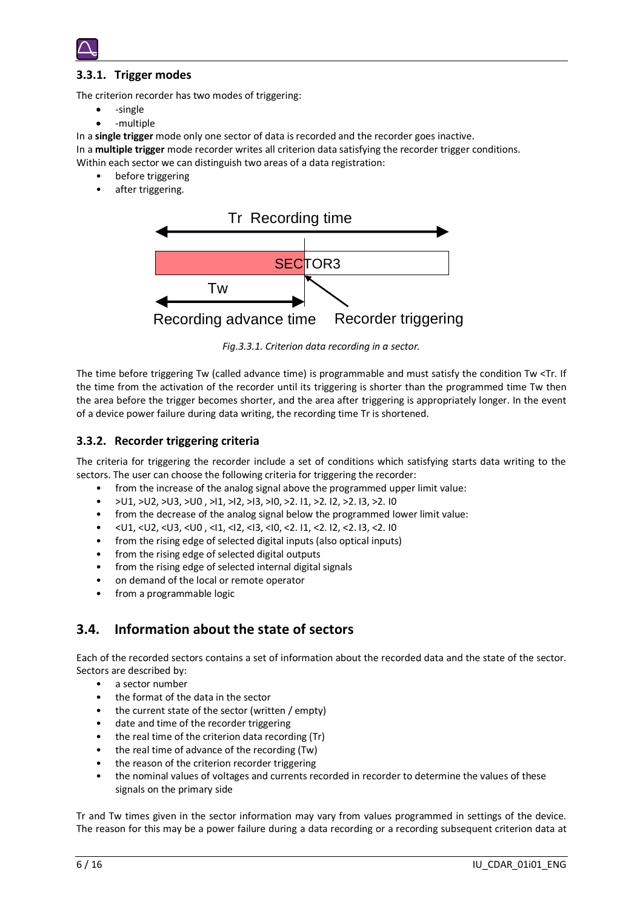

#### <span id="page-5-0"></span>**3.3.1. Trigger modes**

The criterion recorder has two modes of triggering:

- -single
- -multiple

In a **single trigger** mode only one sector of data is recorded and the recorder goes inactive.

In a **multiple trigger** mode recorder writes all criterion data satisfying the recorder trigger conditions.

Within each sector we can distinguish two areas of a data registration:

- before triggering
- after triggering.



*Fig.3.3.1. Criterion data recording in a sector.*

The time before triggering Tw (called advance time) is programmable and must satisfy the condition Tw <Tr. If the time from the activation of the recorder until its triggering is shorter than the programmed time Tw then the area before the trigger becomes shorter, and the area after triggering is appropriately longer. In the event of a device power failure during data writing, the recording time Tr is shortened.

#### <span id="page-5-1"></span>**3.3.2. Recorder triggering criteria**

The criteria for triggering the recorder include a set of conditions which satisfying starts data writing to the sectors. The user can choose the following criteria for triggering the recorder:

- from the increase of the analog signal above the programmed upper limit value:
- >U1, >U2, >U3, >U0 , >I1, >I2, >I3, >I0, >2. I1, >2. I2, >2. I3, >2. I0
- from the decrease of the analog signal below the programmed lower limit value:
- <U1, <U2, <U3, <U0 , <I1, <I2, <I3, <I0, <2. I1, <2. I2, <2. I3, <2. I0
- from the rising edge of selected digital inputs (also optical inputs)
- from the rising edge of selected digital outputs
- from the rising edge of selected internal digital signals
- on demand of the local or remote operator
- from a programmable logic

## <span id="page-5-2"></span>**3.4. Information about the state of sectors**

Each of the recorded sectors contains a set of information about the recorded data and the state of the sector. Sectors are described by:

- a sector number
- the format of the data in the sector
- the current state of the sector (written / empty)
- date and time of the recorder triggering
- the real time of the criterion data recording (Tr)
- the real time of advance of the recording (Tw)
- the reason of the criterion recorder triggering
- the nominal values of voltages and currents recorded in recorder to determine the values of these signals on the primary side

Tr and Tw times given in the sector information may vary from values programmed in settings of the device. The reason for this may be a power failure during a data recording or a recording subsequent criterion data at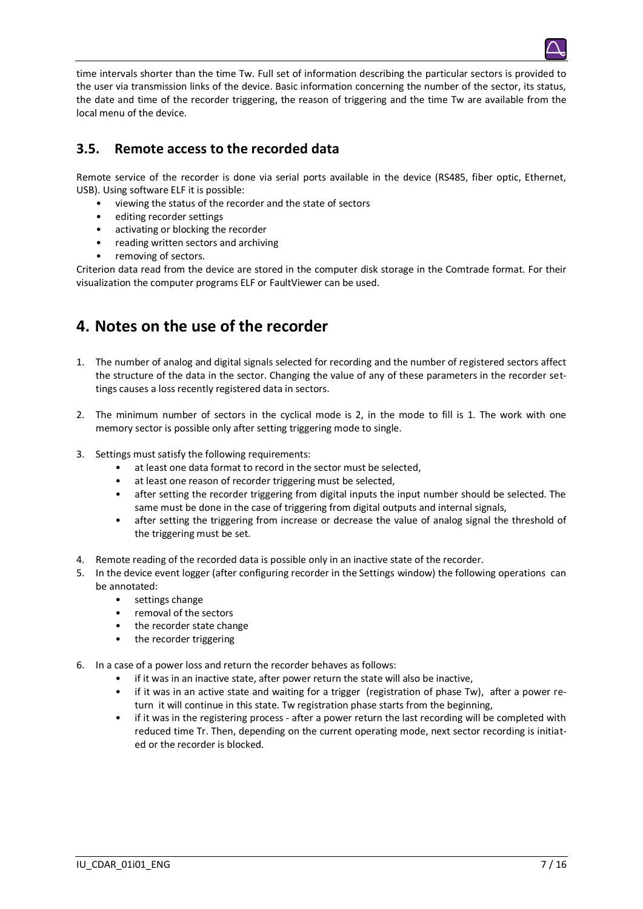

## <span id="page-6-0"></span>**3.5. Remote access to the recorded data**

Remote service of the recorder is done via serial ports available in the device (RS485, fiber optic, Ethernet, USB). Using software ELF it is possible:

- viewing the status of the recorder and the state of sectors
- editing recorder settings
- activating or blocking the recorder
- reading written sectors and archiving
- removing of sectors.

<span id="page-6-1"></span>Criterion data read from the device are stored in the computer disk storage in the Comtrade format. For their visualization the computer programs ELF or FaultViewer can be used.

# **4. Notes on the use of the recorder**

- 1. The number of analog and digital signals selected for recording and the number of registered sectors affect the structure of the data in the sector. Changing the value of any of these parameters in the recorder settings causes a loss recently registered data in sectors.
- 2. The minimum number of sectors in the cyclical mode is 2, in the mode to fill is 1. The work with one memory sector is possible only after setting triggering mode to single.
- 3. Settings must satisfy the following requirements:
	- at least one data format to record in the sector must be selected,
	- at least one reason of recorder triggering must be selected,
	- after setting the recorder triggering from digital inputs the input number should be selected. The same must be done in the case of triggering from digital outputs and internal signals,
	- after setting the triggering from increase or decrease the value of analog signal the threshold of the triggering must be set.
- 4. Remote reading of the recorded data is possible only in an inactive state of the recorder.
- 5. In the device event logger (after configuring recorder in the Settings window) the following operations can be annotated:
	- settings change
	- removal of the sectors
	- the recorder state change
	- the recorder triggering
- 6. In a case of a power loss and return the recorder behaves as follows:
	- if it was in an inactive state, after power return the state will also be inactive,
	- if it was in an active state and waiting for a trigger (registration of phase Tw), after a power return it will continue in this state. Tw registration phase starts from the beginning,
	- if it was in the registering process after a power return the last recording will be completed with reduced time Tr. Then, depending on the current operating mode, next sector recording is initiated or the recorder is blocked.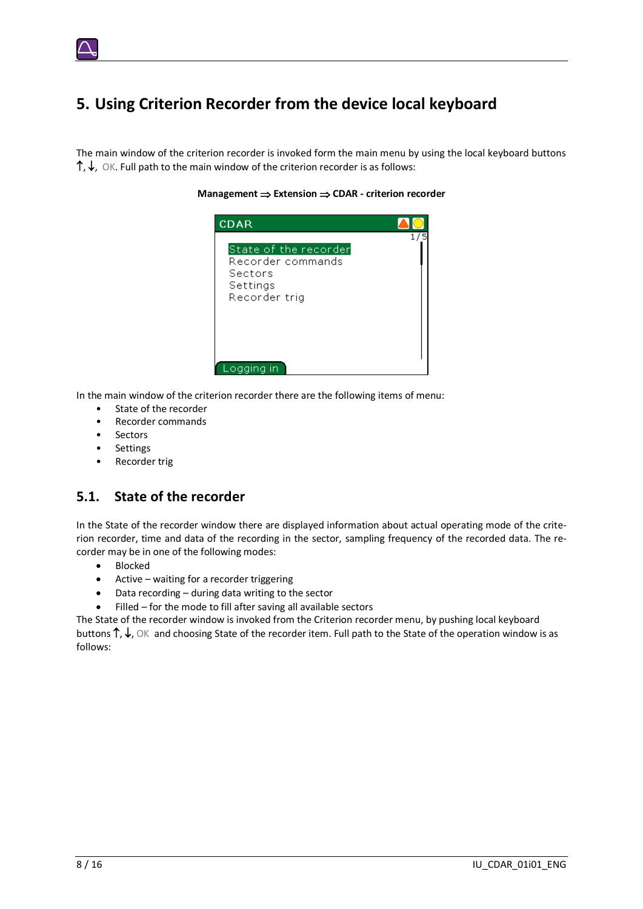# <span id="page-7-0"></span>**5. Using Criterion Recorder from the device local keyboard**

The main window of the criterion recorder is invoked form the main menu by using the local keyboard buttons  $\uparrow, \downarrow$ , OK. Full path to the main window of the criterion recorder is as follows:



**Management**  $\Rightarrow$  **Extension**  $\Rightarrow$  **CDAR - criterion recorder** 

In the main window of the criterion recorder there are the following items of menu:

- State of the recorder
- Recorder commands
- Sectors
- **Settings**
- Recorder trig

### <span id="page-7-1"></span>**5.1. State of the recorder**

In the State of the recorder window there are displayed information about actual operating mode of the criterion recorder, time and data of the recording in the sector, sampling frequency of the recorded data. The recorder may be in one of the following modes:

- Blocked
- Active waiting for a recorder triggering
- Data recording during data writing to the sector
- Filled for the mode to fill after saving all available sectors

The State of the recorder window is invoked from the Criterion recorder menu, by pushing local keyboard buttons  $\uparrow, \downarrow$ , OK and choosing State of the recorder item. Full path to the State of the operation window is as follows: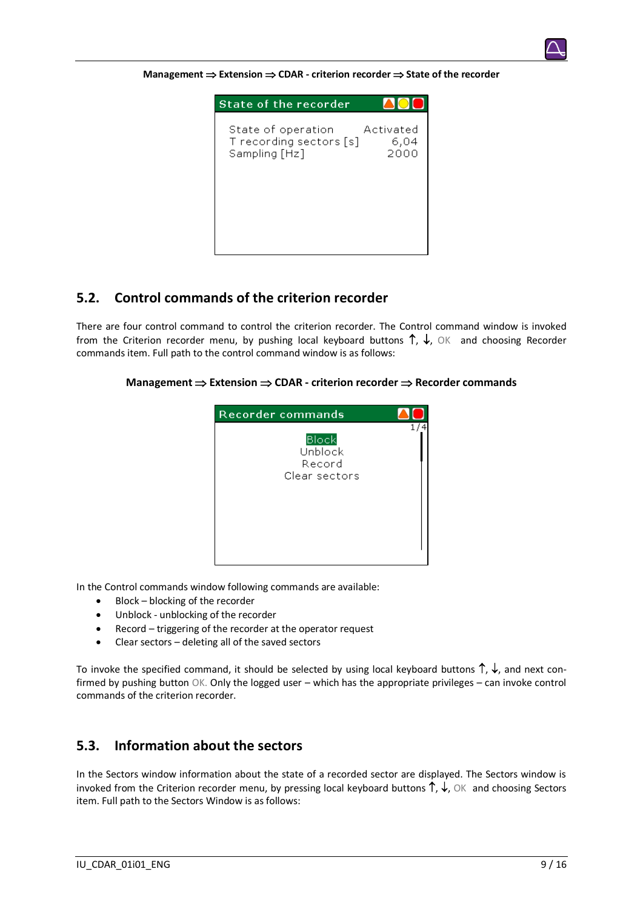

| <b>State of the recorder</b>                                   |                           |
|----------------------------------------------------------------|---------------------------|
| State of operation<br>T recording sectors [s]<br>Sampling [Hz] | Activated<br>6,04<br>2000 |
|                                                                |                           |

#### <span id="page-8-0"></span>**5.2. Control commands of the criterion recorder**

There are four control command to control the criterion recorder. The Control command window is invoked from the Criterion recorder menu, by pushing local keyboard buttons  $\uparrow$ ,  $\downarrow$ , OK and choosing Recorder commands item. Full path to the control command window is as follows:

**Management**  $\Rightarrow$  **Extension**  $\Rightarrow$  **CDAR - criterion recorder**  $\Rightarrow$  **Recorder commands** 



In the Control commands window following commands are available:

- Block blocking of the recorder
- Unblock unblocking of the recorder
- Record triggering of the recorder at the operator request
- Clear sectors deleting all of the saved sectors

To invoke the specified command, it should be selected by using local keyboard buttons  $\uparrow, \downarrow$ , and next confirmed by pushing button OK. Only the logged user – which has the appropriate privileges – can invoke control commands of the criterion recorder.

#### <span id="page-8-1"></span>**5.3. Information about the sectors**

In the Sectors window information about the state of a recorded sector are displayed. The Sectors window is invoked from the Criterion recorder menu, by pressing local keyboard buttons  $\uparrow, \downarrow$ , OK and choosing Sectors item. Full path to the Sectors Window is as follows: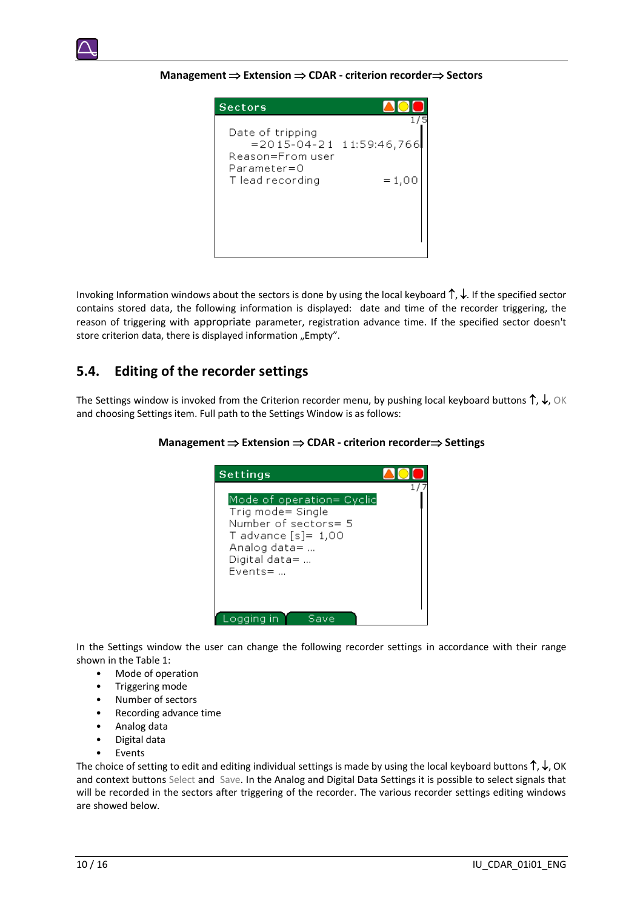

**Management**  $\Rightarrow$  **Extension**  $\Rightarrow$  **CDAR - criterion recorder⇒ Sectors** 



Invoking Information windows about the sectors is done by using the local keyboard  $\uparrow$ ,  $\downarrow$ . If the specified sector contains stored data, the following information is displayed: date and time of the recorder triggering, the reason of triggering with appropriate parameter, registration advance time. If the specified sector doesn't store criterion data, there is displayed information "Empty".

### <span id="page-9-0"></span>**5.4. Editing of the recorder settings**

The Settings window is invoked from the Criterion recorder menu, by pushing local keyboard buttons  $\uparrow, \downarrow$ , OK and choosing Settings item. Full path to the Settings Window is as follows:

#### **Management**  $\Rightarrow$  **Extension**  $\Rightarrow$  **CDAR - criterion recorder⇒ Settings**



In the Settings window the user can change the following recorder settings in accordance with their range shown in the Table 1:

- Mode of operation
- Triggering mode
- Number of sectors
- Recording advance time
- Analog data
- Digital data
- **Fvents**

The choice of setting to edit and editing individual settings is made by using the local keyboard buttons  $\uparrow$ ,  $\downarrow$ , OK and context buttons Select andSave. In the Analog and Digital Data Settings it is possible to select signals that will be recorded in the sectors after triggering of the recorder. The various recorder settings editing windows are showed below.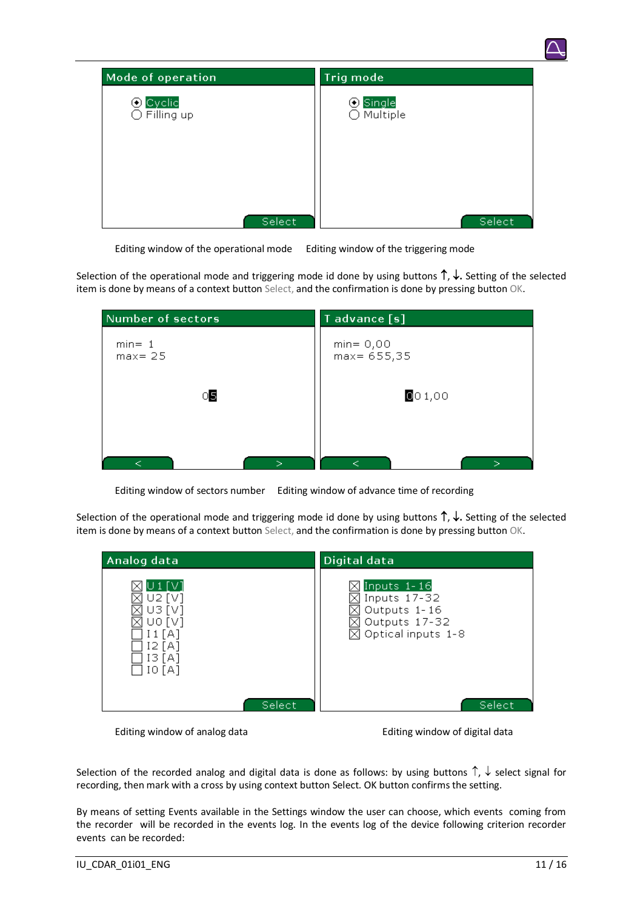

Editing window of the operational mode Editing window of the triggering mode

Selection of the operational mode and triggering mode id done by using buttons  $\uparrow, \downarrow$ . Setting of the selected item is done by means of a context button Select, and the confirmation is done by pressing button OK.

| Number of sectors       | T advance [s]                  |
|-------------------------|--------------------------------|
| $min = 1$<br>$max = 25$ | $min = 0,00$<br>$max = 655,35$ |
| 05                      | 001,00                         |
|                         |                                |

Editing window of sectors number Editing window of advance time of recording

Selection of the operational mode and triggering mode id done by using buttons  $\uparrow, \downarrow$ . Setting of the selected item is done by means of a context button Select, and the confirmation is done by pressing button OK.

| Analog data                                                                      | Digital data                                                                                   |
|----------------------------------------------------------------------------------|------------------------------------------------------------------------------------------------|
| $\cup$ 1 [V]<br>U2 [V]<br>U3 [V]<br>uo [v]<br>11[A]<br>12 [A]<br>13 [A]<br>IO[A] | Inputs 1-16<br>Inputs 17-32<br>Outputs 1-16<br>Outputs 17-32<br>$\boxtimes$ Optical inputs 1-8 |
|                                                                                  | Select<br>Select,                                                                              |

Editing window of analog data Editing window of digital data

Selection of the recorded analog and digital data is done as follows: by using buttons  $\uparrow$ ,  $\downarrow$  select signal for recording, then mark with a cross by using context button Select. OK button confirms the setting.

By means of setting Events available in the Settings window the user can choose, which events coming from the recorder will be recorded in the events log. In the events log of the device following criterion recorder events can be recorded: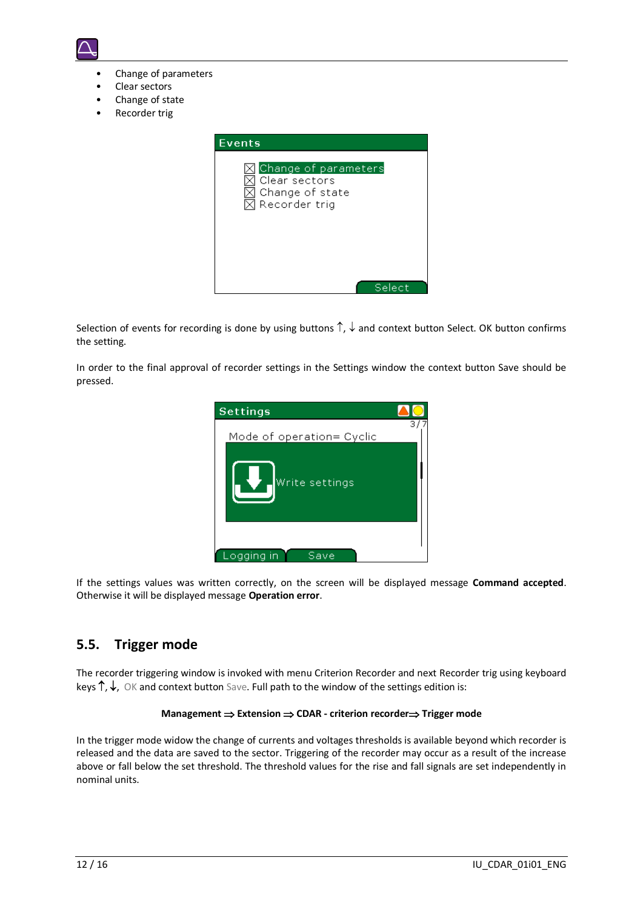

- Change of parameters
- Clear sectors
- Change of state
- Recorder trig



Selection of events for recording is done by using buttons  $\uparrow$ ,  $\downarrow$  and context button Select. OK button confirms the setting.

In order to the final approval of recorder settings in the Settings window the context button Save should be pressed.



If the settings values was written correctly, on the screen will be displayed message **Command accepted**. Otherwise it will be displayed message **Operation error**.

### <span id="page-11-0"></span>**5.5. Trigger mode**

The recorder triggering window is invoked with menu Criterion Recorder and next Recorder trig using keyboard keys  $\uparrow, \downarrow$ , OK and context button Save. Full path to the window of the settings edition is:

#### **Management**  $\Rightarrow$  **Extension**  $\Rightarrow$  **CDAR - criterion recorder** $\Rightarrow$  **Trigger mode**

In the trigger mode widow the change of currents and voltages thresholds is available beyond which recorder is released and the data are saved to the sector. Triggering of the recorder may occur as a result of the increase above or fall below the set threshold. The threshold values for the rise and fall signals are set independently in nominal units.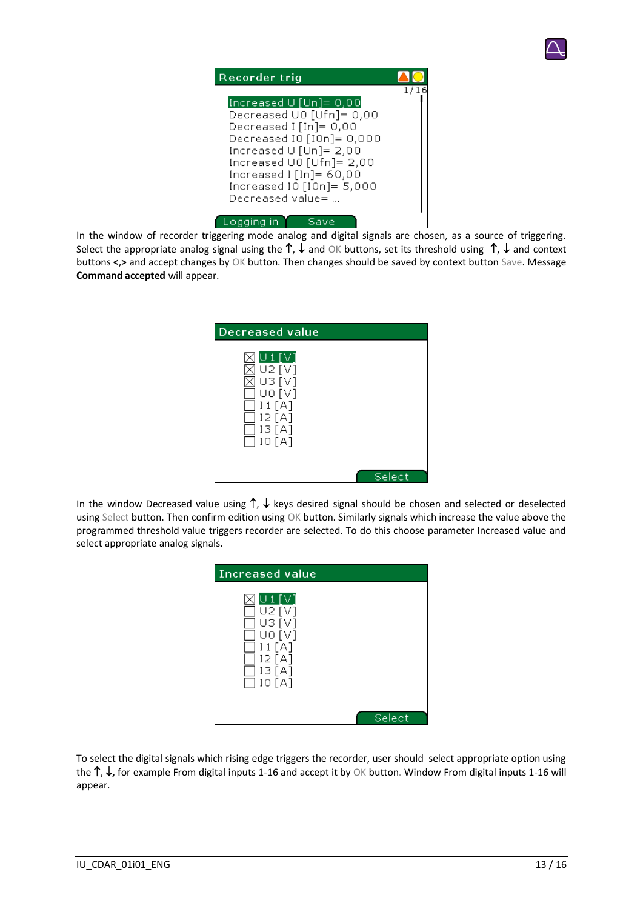



In the window of recorder triggering mode analog and digital signals are chosen, as a source of triggering. Select the appropriate analog signal using the  $\uparrow$ ,  $\downarrow$  and OK buttons, set its threshold using  $\uparrow$ ,  $\downarrow$  and context buttons **<**,**>** and accept changes by OK button. Then changes should be saved by context button Save. Message **Command accepted** will appear.

| Decreased value                                                          |        |
|--------------------------------------------------------------------------|--------|
| U 1 [V]<br>U2[V]<br>U3[V]<br>UO [V]<br>I1[A]<br>I2[A]<br>13[A]<br>10 [A] |        |
|                                                                          | Select |

In the window Decreased value using  $\uparrow$ ,  $\downarrow$  keys desired signal should be chosen and selected or deselected using Select button. Then confirm edition using OK button. Similarly signals which increase the value above the programmed threshold value triggers recorder are selected. To do this choose parameter Increased value and select appropriate analog signals.

| Increased value                                                           |        |
|---------------------------------------------------------------------------|--------|
| U 1 [V]<br>U2 [V]<br>U3 [V]<br>U0 [V]<br>I1[A]<br>12[A]<br>13[A]<br>IO[A] |        |
|                                                                           | Select |

To select the digital signals which rising edge triggers the recorder, user should select appropriate option using the  $\uparrow$ ,  $\downarrow$ , for example From digital inputs 1-16 and accept it by OK button. Window From digital inputs 1-16 will appear.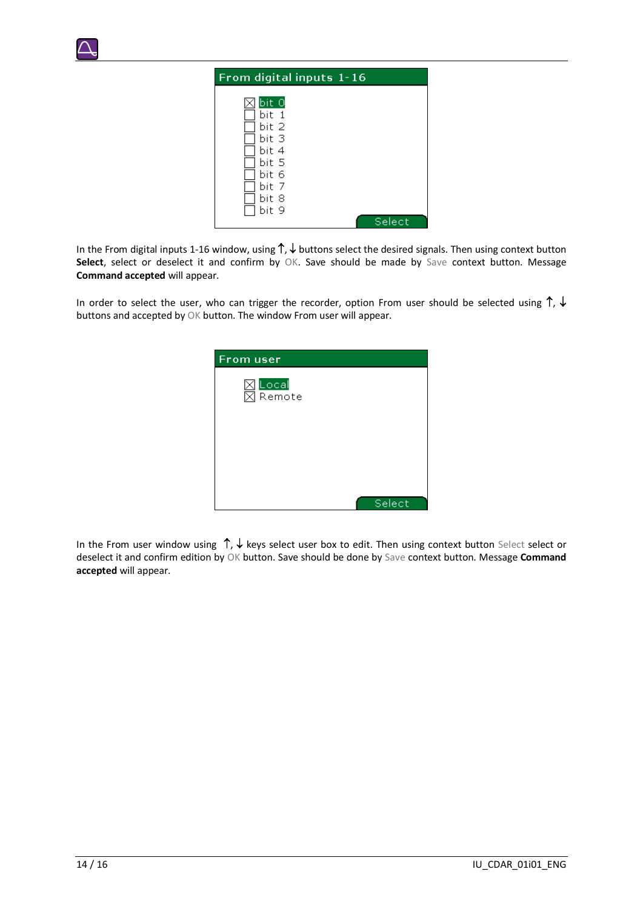

| From digital inputs 1-16 |
|--------------------------|
| bit 0<br>bit 1<br>bit 2  |
| bit 3<br>bit 4<br>bit 5  |
| bit 6<br>bit 7<br>bit 8  |
| bit 9<br>Select          |

In the From digital inputs 1-16 window, using  $\uparrow$ ,  $\downarrow$  buttons select the desired signals. Then using context button Select, select or deselect it and confirm by OK. Save should be made by Save context button. Message **Command accepted** will appear.

In order to select the user, who can trigger the recorder, option From user should be selected using  $\uparrow$ ,  $\downarrow$ buttons and accepted by OK button. The window From user will appear.



In the From user window using  $\uparrow$ ,  $\downarrow$  keys select user box to edit. Then using context button Select select or deselect it and confirm edition by OK button. Save should be done by Save context button. Message **Command accepted** will appear.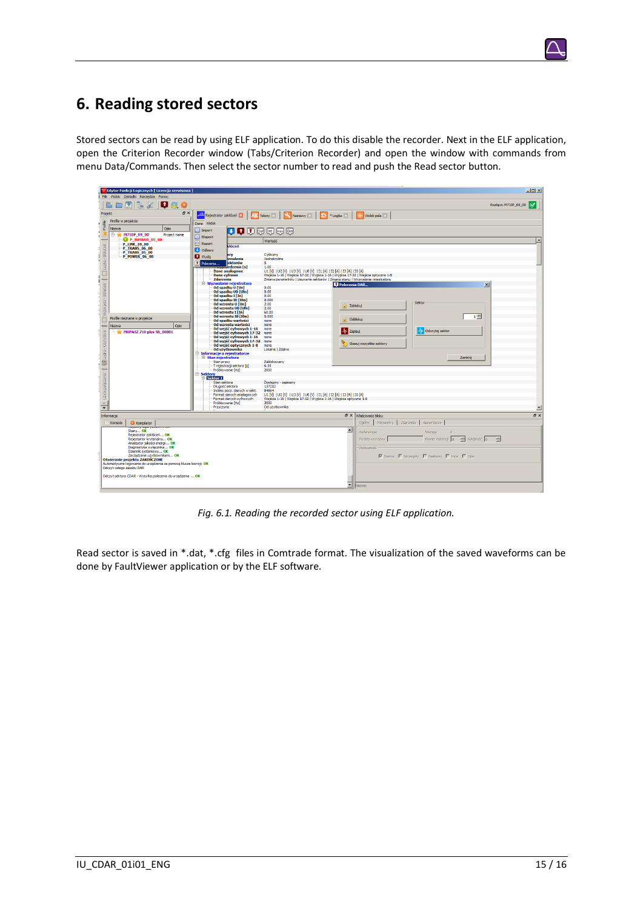# <span id="page-14-0"></span>**6. Reading stored sectors**

Stored sectors can be read by using ELF application. To do this disable the recorder. Next in the ELF application, open the Criterion Recorder window (Tabs/Criterion Recorder) and open the window with commands from menu Data/Commands. Then select the sector number to read and push the Read sector button.

| Edytor Funkcji Logicznych [ Licencja serwisowa ]                                                                                                                                                                                                                                                                                                                                                                                       |                                                                                                                                                                                                                                                                                                                                                                                                                                                                                                                                                                                                                                                                                                                                                                                                                                                                                                                                                                                                                                                                                                                                                                                                                                                                                          |                                                                                                                                                                                                                                                                                                                                                                                                                                                                                                                                                                          | $\Box$ D $\times$ |
|----------------------------------------------------------------------------------------------------------------------------------------------------------------------------------------------------------------------------------------------------------------------------------------------------------------------------------------------------------------------------------------------------------------------------------------|------------------------------------------------------------------------------------------------------------------------------------------------------------------------------------------------------------------------------------------------------------------------------------------------------------------------------------------------------------------------------------------------------------------------------------------------------------------------------------------------------------------------------------------------------------------------------------------------------------------------------------------------------------------------------------------------------------------------------------------------------------------------------------------------------------------------------------------------------------------------------------------------------------------------------------------------------------------------------------------------------------------------------------------------------------------------------------------------------------------------------------------------------------------------------------------------------------------------------------------------------------------------------------------|--------------------------------------------------------------------------------------------------------------------------------------------------------------------------------------------------------------------------------------------------------------------------------------------------------------------------------------------------------------------------------------------------------------------------------------------------------------------------------------------------------------------------------------------------------------------------|-------------------|
| Plik Widok Zakładki Narzędzia Pomoc<br>四<br><b>RX</b><br><b>D</b> & *                                                                                                                                                                                                                                                                                                                                                                  |                                                                                                                                                                                                                                                                                                                                                                                                                                                                                                                                                                                                                                                                                                                                                                                                                                                                                                                                                                                                                                                                                                                                                                                                                                                                                          | lø<br>Rozłacz: M710P 09 00                                                                                                                                                                                                                                                                                                                                                                                                                                                                                                                                               |                   |
| a x<br>Projekt                                                                                                                                                                                                                                                                                                                                                                                                                         | <b><sup>111</sup> Rejestrator zakłóceń XI</b><br><b>ARC</b> Teksty<br>Nastawy <sup>1</sup>                                                                                                                                                                                                                                                                                                                                                                                                                                                                                                                                                                                                                                                                                                                                                                                                                                                                                                                                                                                                                                                                                                                                                                                               | lФ<br>*Logika <sup>[2]</sup><br>Widok pola                                                                                                                                                                                                                                                                                                                                                                                                                                                                                                                               |                   |
| Profile w projekcie<br>Profile<br>Nazwa<br>Opis<br>E- M710P_09_00<br><b>Project name</b><br>P BUSBAR 05 00<br><b>P LINE 10 00</b><br>dok.pola - Bibloteki   Dilugika - Bibloteki<br><b>P_TRANS_06_00</b><br><b>P_TRANS_05_00</b><br><b>P_POWER_06_00</b><br>Profile nieznane w projekcie<br>Nazwa<br>Opis<br>Dogka - Uzyte blok<br>MUPASZ 710 plus SN_00001<br>Uzyte połączenia<br>$\blacktriangle$<br>$\overline{\phantom{a}}$        | Dane Widok<br>●●●●●●●<br><b>Import</b><br><b>Export</b><br>Wartość<br>Raport<br>kłóceń<br><b>Odbierz</b><br>Cykliczny<br>þcy<br><b>D</b> Wyślij<br>zwalania<br>Jednokrotne<br>ektorów<br>Polecenia<br>5.<br>edzenia [s]<br>1.00<br><b>Dane analogowe</b><br><b>Dane cyfrowe</b><br>Zdarzenia<br>E Wyzwalanie rejestratora<br>Od spadku U [Un]<br>0.00<br>Od spadku U0 [Ufn]<br>0.00<br>Od spadku I [In]<br>0.00<br>Od spadku I0 [IOn]<br>0.000<br>Od wzrostu U [Un]<br>2.00<br>Od wzrostu U0 [Ufn]<br>2.00<br>Od wzrostu I [In]<br>60.00<br>Od wzrostu I0 [IOn]<br>5.000<br>Od spadku wartości<br>none<br>Od wzrostu wartości<br>none<br>Od wejść cyfrowych 1-16<br>none<br>Od wejść cyfrowych 17-32<br>none<br>Od wyjść cyfrowych 1-16<br>none<br>Od wyjść cyfrowych 17-32<br>none<br>Od weiść optycznych 1-8<br>none<br>Od użytkownika<br>Lokaine   Zdaine<br><b>E</b> Informacje o rejestratorze<br>E Stan rejestratora<br>Zablokowany<br>Stan pracy<br>6.55<br>T rejestracji sektora [s]<br>2000<br>Próbkowanie [Hz]<br>Sektory<br><b>El Sektor 1</b><br>Stan sektora<br>Dostepny - zapisany<br>Długość sektora<br>157212<br>Indeks pocz. danych w sekt.<br>84864<br>Format danych analogowych<br>Format danych cyfrowych<br>Próbkowanie [Hz]<br>2000<br>Przyczyna<br>Od użytkownika | U1 [V]   U2 [V]   U3 [V]   U0 [V]   I1 [A]   I2 [A]   I3 [A]   I0 [A]<br>Wejścia 1-16   Wejścia 17-32   Wyjścia 1-16   Wyjścia 17-32   Wejścia optyczne 1-8<br>Zmiana parametrów   Usuwanie sektorów   Zmiana stanu   Wyzwalanie refestratora<br>$\vert x \vert$<br><b>D</b> Polecenia DAR<br>Sektor<br>Zablokut<br>œ<br>$1 -$<br>odblokuj<br><b>Odczytaj</b> sektor<br>AL Zapisuj<br>Skasuj wszystkie sektory<br>Zamknij<br>U1 [V]   U2 [V]   U3 [V]   U0 [V]   I1 [A]   I2 [A]   I3 [A]   I0 [A]<br>Wejścia 1-16   Wejścia 17-32   Wyjścia 1-16   Wejścia optyczne 1-8 | ≖                 |
| Informacia                                                                                                                                                                                                                                                                                                                                                                                                                             |                                                                                                                                                                                                                                                                                                                                                                                                                                                                                                                                                                                                                                                                                                                                                                                                                                                                                                                                                                                                                                                                                                                                                                                                                                                                                          | a x<br>Właściwości błoku                                                                                                                                                                                                                                                                                                                                                                                                                                                                                                                                                 | <b>B</b> X        |
| Konsola<br>Kompilator<br><b>CONTRACTOR</b><br>Stany OK<br>Rejestrator zakłóceń OK<br>Rejestartor kryterialny OK<br>Analizator jakości energi OK<br>Diagnostyka wyłacznika OK<br>Dziennik systemowy OK<br>Zarzadzanie użytkownikami OK<br>Otwieranie projektu ZAKOŃCZONE<br>Automatyczne logowanie do urządzenia za pomocą klucza licencji: OK<br>Odczyt całego zasobu DAR<br>Odczyt sektora CDAR - Wysyłka polecenia do urzadzenia  OK |                                                                                                                                                                                                                                                                                                                                                                                                                                                                                                                                                                                                                                                                                                                                                                                                                                                                                                                                                                                                                                                                                                                                                                                                                                                                                          | Parametry Zdarzenia<br>Ogólne  <br>Komentarze<br>$\blacktriangle$<br>Referencia:<br>Wersta:<br>Numer instancji 0 - Kolejność 0 - -<br>Podstawa nazwy<br>Widoczność-<br>V Nazwa   Szczegóły   Nastawy   Inne   Opis<br>ᅬ<br>Nazwa:                                                                                                                                                                                                                                                                                                                                        |                   |

*Fig. 6.1. Reading the recorded sector using ELF application.*

Read sector is saved in \*.dat, \*.cfg files in Comtrade format. The visualization of the saved waveforms can be done by FaultViewer application or by the ELF software.